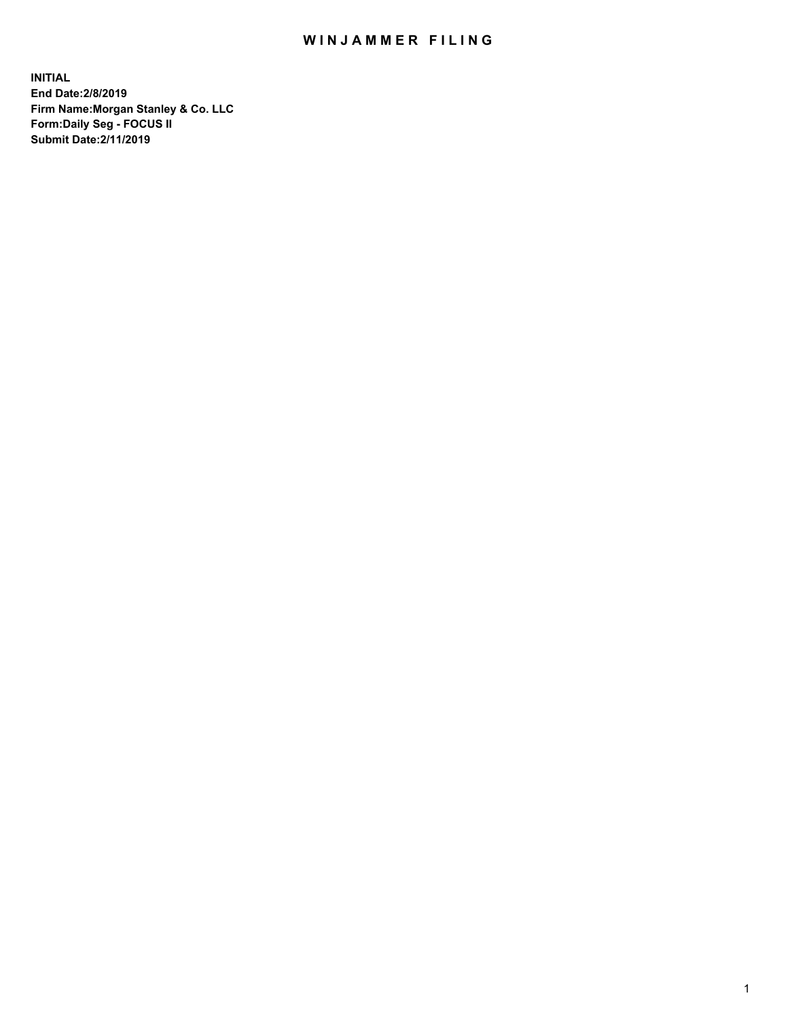## WIN JAMMER FILING

**INITIAL End Date:2/8/2019 Firm Name:Morgan Stanley & Co. LLC Form:Daily Seg - FOCUS II Submit Date:2/11/2019**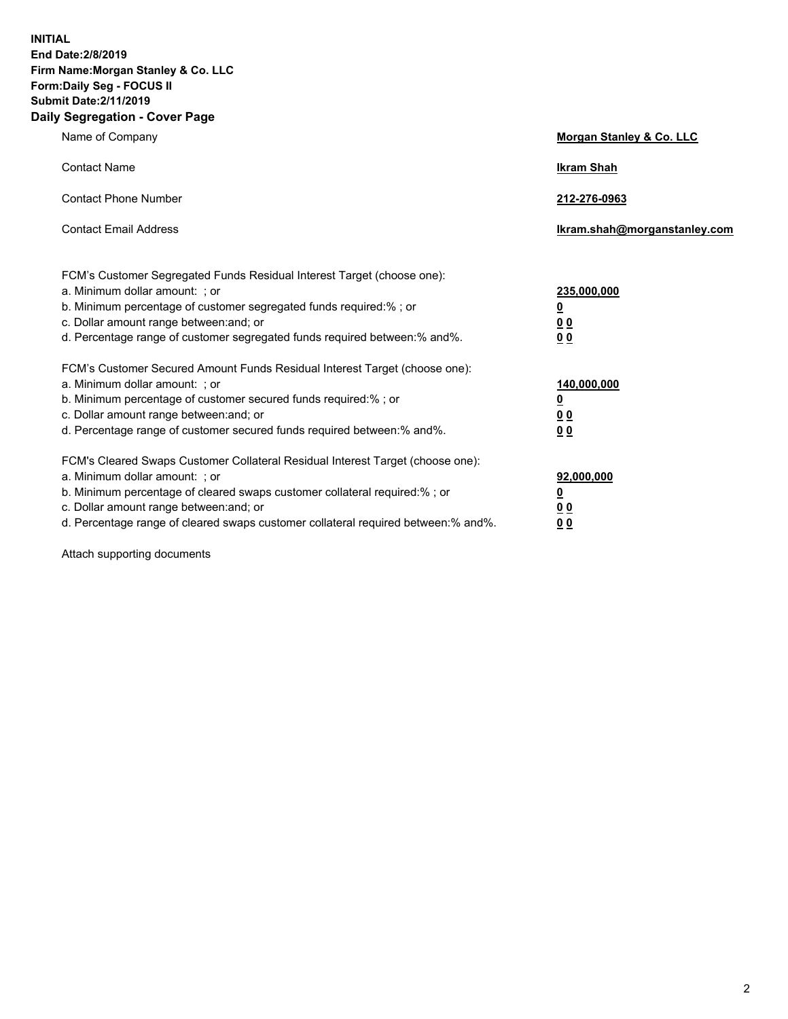**INITIAL End Date:2/8/2019 Firm Name:Morgan Stanley & Co. LLC Form:Daily Seg - FOCUS II Submit Date:2/11/2019 Daily Segregation - Cover Page**

| Name of Company                                                                                                                                                                                                                                                                                                                | Morgan Stanley & Co. LLC                                |
|--------------------------------------------------------------------------------------------------------------------------------------------------------------------------------------------------------------------------------------------------------------------------------------------------------------------------------|---------------------------------------------------------|
| <b>Contact Name</b>                                                                                                                                                                                                                                                                                                            | <b>Ikram Shah</b>                                       |
| <b>Contact Phone Number</b>                                                                                                                                                                                                                                                                                                    | 212-276-0963                                            |
| <b>Contact Email Address</b>                                                                                                                                                                                                                                                                                                   | Ikram.shah@morganstanley.com                            |
| FCM's Customer Segregated Funds Residual Interest Target (choose one):<br>a. Minimum dollar amount: ; or<br>b. Minimum percentage of customer segregated funds required:% ; or<br>c. Dollar amount range between: and; or<br>d. Percentage range of customer segregated funds required between:% and%.                         | 235,000,000<br><u>0</u><br>0 <sup>0</sup><br>00         |
| FCM's Customer Secured Amount Funds Residual Interest Target (choose one):<br>a. Minimum dollar amount: ; or<br>b. Minimum percentage of customer secured funds required:%; or<br>c. Dollar amount range between: and; or<br>d. Percentage range of customer secured funds required between:% and%.                            | 140,000,000<br><u>0</u><br><u>0 0</u><br>0 <sub>0</sub> |
| FCM's Cleared Swaps Customer Collateral Residual Interest Target (choose one):<br>a. Minimum dollar amount: ; or<br>b. Minimum percentage of cleared swaps customer collateral required:% ; or<br>c. Dollar amount range between: and; or<br>d. Percentage range of cleared swaps customer collateral required between:% and%. | 92,000,000<br><u>0</u><br><u>00</u><br>0 <sub>0</sub>   |

Attach supporting documents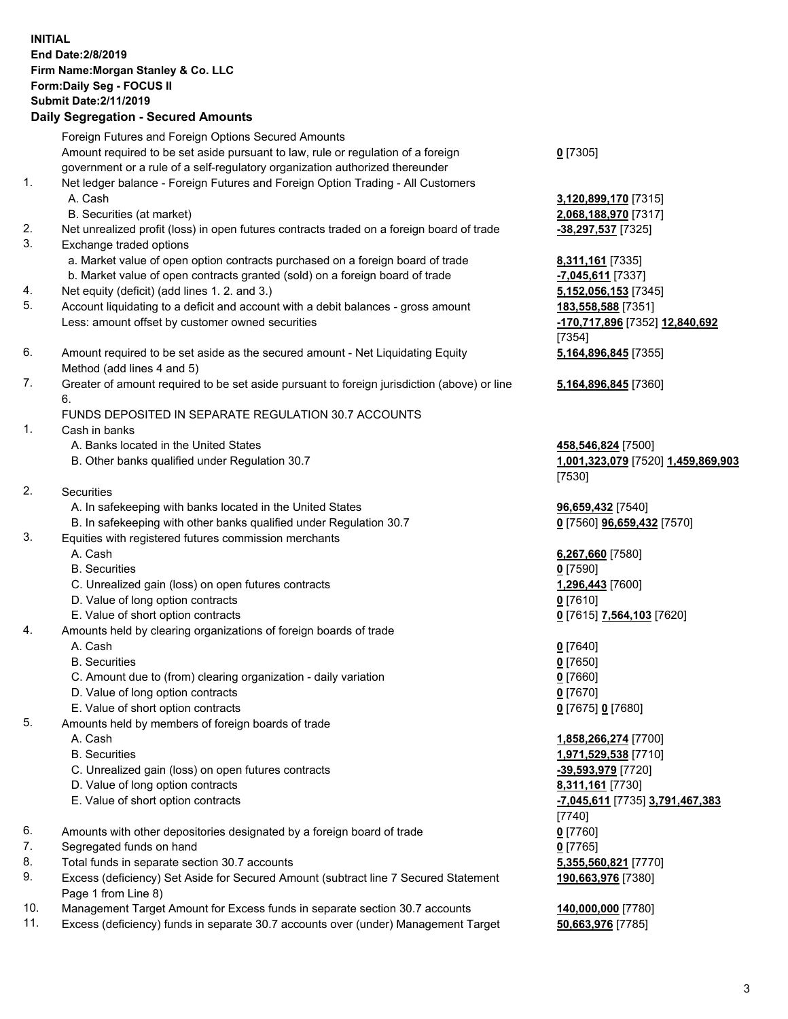## **INITIAL End Date:2/8/2019 Firm Name:Morgan Stanley & Co. LLC Form:Daily Seg - FOCUS II Submit Date:2/11/2019 Daily Segregation - Secured Amounts**

Foreign Futures and Foreign Options Secured Amounts Amount required to be set aside pursuant to law, rule or regulation of a foreign government or a rule of a self-regulatory organization authorized thereunder

- 1. Net ledger balance Foreign Futures and Foreign Option Trading All Customers A. Cash **3,120,899,170** [7315]
	- B. Securities (at market) **2,068,188,970** [7317]
- 2. Net unrealized profit (loss) in open futures contracts traded on a foreign board of trade **-38,297,537** [7325]
- 3. Exchange traded options
	- a. Market value of open option contracts purchased on a foreign board of trade **8,311,161** [7335]
	- b. Market value of open contracts granted (sold) on a foreign board of trade **-7,045,611** [7337]
- 4. Net equity (deficit) (add lines 1. 2. and 3.) **5,152,056,153** [7345]
- 5. Account liquidating to a deficit and account with a debit balances gross amount **183,558,588** [7351] Less: amount offset by customer owned securities **-170,717,896** [7352] **12,840,692**
- 6. Amount required to be set aside as the secured amount Net Liquidating Equity Method (add lines 4 and 5)
- 7. Greater of amount required to be set aside pursuant to foreign jurisdiction (above) or line 6.

## FUNDS DEPOSITED IN SEPARATE REGULATION 30.7 ACCOUNTS

- 1. Cash in banks
	- A. Banks located in the United States **458,546,824** [7500]
	- B. Other banks qualified under Regulation 30.7 **1,001,323,079** [7520] **1,459,869,903**
- 2. Securities
	- A. In safekeeping with banks located in the United States **96,659,432** [7540]
	- B. In safekeeping with other banks qualified under Regulation 30.7 **0** [7560] **96,659,432** [7570]
- 3. Equities with registered futures commission merchants
	-
	- B. Securities **0** [7590]
	- C. Unrealized gain (loss) on open futures contracts **1,296,443** [7600]
	- D. Value of long option contracts **0** [7610]
- E. Value of short option contracts **0** [7615] **7,564,103** [7620]
- 4. Amounts held by clearing organizations of foreign boards of trade
	- A. Cash **0** [7640]
	- B. Securities **0** [7650]
	- C. Amount due to (from) clearing organization daily variation **0** [7660]
	- D. Value of long option contracts **0** [7670]
	- E. Value of short option contracts **0** [7675] **0** [7680]
- 5. Amounts held by members of foreign boards of trade
	-
	-
	- C. Unrealized gain (loss) on open futures contracts **-39,593,979** [7720]
	- D. Value of long option contracts **8,311,161** [7730]
	- E. Value of short option contracts **-7,045,611** [7735] **3,791,467,383**
- 6. Amounts with other depositories designated by a foreign board of trade **0** [7760]
- 7. Segregated funds on hand **0** [7765]
- 8. Total funds in separate section 30.7 accounts **5,355,560,821** [7770]
- 9. Excess (deficiency) Set Aside for Secured Amount (subtract line 7 Secured Statement Page 1 from Line 8)
- 10. Management Target Amount for Excess funds in separate section 30.7 accounts **140,000,000** [7780]
- 11. Excess (deficiency) funds in separate 30.7 accounts over (under) Management Target **50,663,976** [7785]

**0** [7305]

[7354] **5,164,896,845** [7355]

**5,164,896,845** [7360]

[7530]

A. Cash **6,267,660** [7580]

 A. Cash **1,858,266,274** [7700] B. Securities **1,971,529,538** [7710] [7740] **190,663,976** [7380]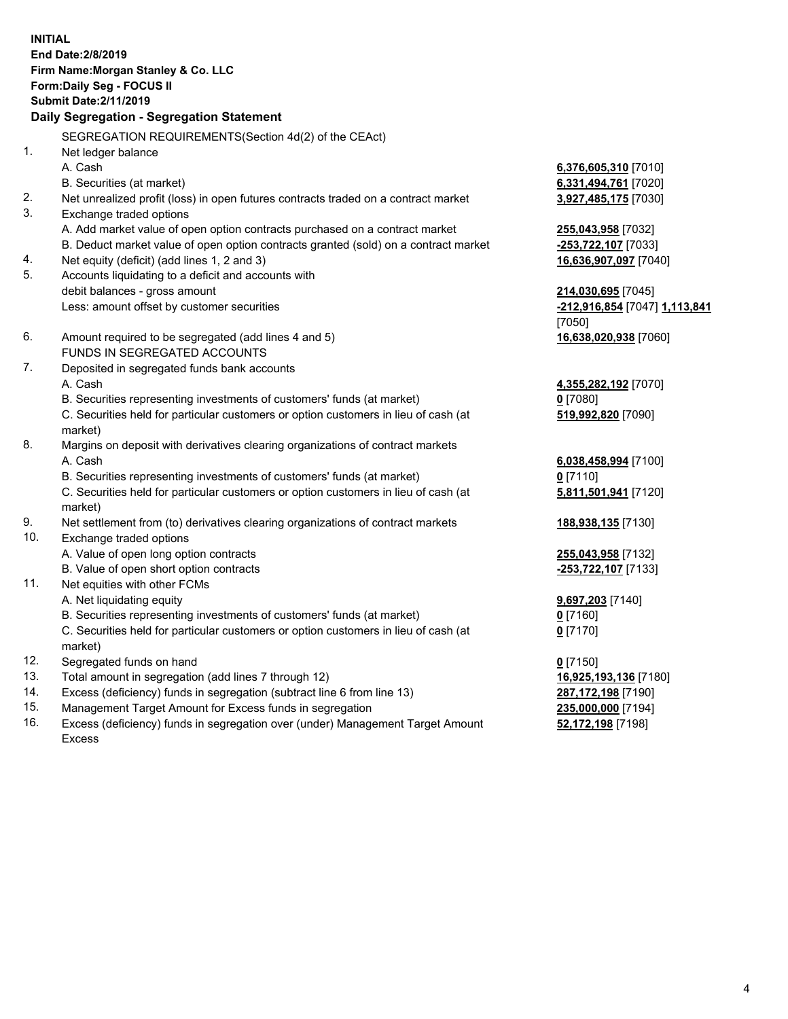**INITIAL End Date:2/8/2019 Firm Name:Morgan Stanley & Co. LLC Form:Daily Seg - FOCUS II Submit Date:2/11/2019 Daily Segregation - Segregation Statement** SEGREGATION REQUIREMENTS(Section 4d(2) of the CEAct) 1. Net ledger balance A. Cash **6,376,605,310** [7010] B. Securities (at market) **6,331,494,761** [7020] 2. Net unrealized profit (loss) in open futures contracts traded on a contract market **3,927,485,175** [7030] 3. Exchange traded options A. Add market value of open option contracts purchased on a contract market **255,043,958** [7032] B. Deduct market value of open option contracts granted (sold) on a contract market **-253,722,107** [7033] 4. Net equity (deficit) (add lines 1, 2 and 3) **16,636,907,097** [7040] 5. Accounts liquidating to a deficit and accounts with debit balances - gross amount **214,030,695** [7045] Less: amount offset by customer securities **-212,916,854** [7047] **1,113,841** [7050] 6. Amount required to be segregated (add lines 4 and 5) **16,638,020,938** [7060] FUNDS IN SEGREGATED ACCOUNTS 7. Deposited in segregated funds bank accounts A. Cash **4,355,282,192** [7070] B. Securities representing investments of customers' funds (at market) **0** [7080] C. Securities held for particular customers or option customers in lieu of cash (at market) **519,992,820** [7090] 8. Margins on deposit with derivatives clearing organizations of contract markets A. Cash **6,038,458,994** [7100] B. Securities representing investments of customers' funds (at market) **0** [7110] C. Securities held for particular customers or option customers in lieu of cash (at market) **5,811,501,941** [7120] 9. Net settlement from (to) derivatives clearing organizations of contract markets **188,938,135** [7130] 10. Exchange traded options A. Value of open long option contracts **255,043,958** [7132] B. Value of open short option contracts **-253,722,107** [7133] 11. Net equities with other FCMs A. Net liquidating equity **9,697,203** [7140] B. Securities representing investments of customers' funds (at market) **0** [7160] C. Securities held for particular customers or option customers in lieu of cash (at market) **0** [7170] 12. Segregated funds on hand **0** [7150] 13. Total amount in segregation (add lines 7 through 12) **16,925,193,136** [7180] 14. Excess (deficiency) funds in segregation (subtract line 6 from line 13) **287,172,198** [7190]

- 15. Management Target Amount for Excess funds in segregation **235,000,000** [7194]
- 16. Excess (deficiency) funds in segregation over (under) Management Target Amount Excess

**52,172,198** [7198]